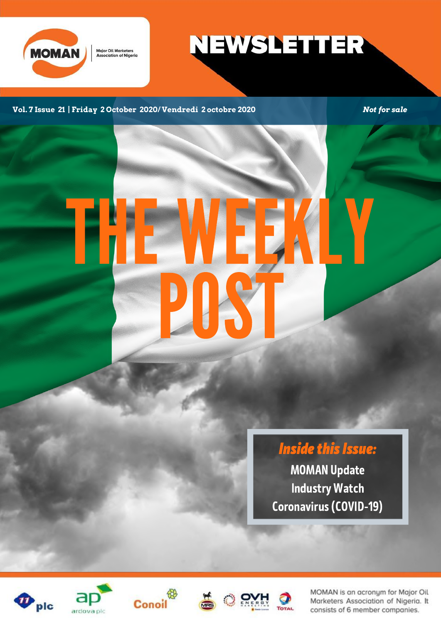

**NEWSLETTER** 

**Vol. 7 Issue 21 | Friday 2 October 2020/ Vendredi 2 octobre 2020** *Not for sale*

# THE WEEKLY POST

**Inside this Issue:** MOMAN Update Industry Watch

Coronavirus(COVID-19)











MOMAN is an acronym for Major Oil Marketers Association of Nigeria. It consists of 6 member companies.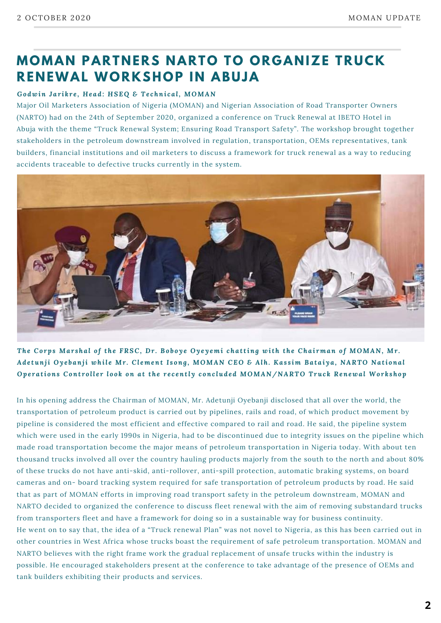## **MOMA N PART N ERS N ARTO TO OR G A N IZE TRUCK RE N EWAL WORKSHOP I N ABUJA**

#### *Godwin J a r i k r e , H e ad: H SEQ & Te chni c a l, MOMAN*

Major Oil Marketers Association of Nigeria (MOMAN) and Nigerian Association of Road Transporter Owners (NARTO) had on the 24th of September 2020, organized a conference on Truck Renewal at IBETO Hotel in Abuja with the theme "Truck Renewal System; Ensuring Road Transport Safety". The workshop brought together stakeholders in the petroleum downstream involved in regulation, transportation, OEMs representatives, tank builders, financial institutions and oil marketers to discuss a framework for truck renewal as a way to reducing accidents traceable to defective trucks currently in the system.



The Corps Marshal of the FRSC, Dr. Boboye Oyeyemi chatting with the Chairman of MOMAN, Mr. Adetunji Oyebanji while Mr. Clement Isong, MOMAN CEO & Alh. Kassim Bataiya, NARTO National Operations Controller look on at the recently concluded MOMAN/NARTO Truck Renewal Workshop

In his opening address the Chairman of MOMAN, Mr. Adetunji Oyebanji disclosed that all over the world, the transportation of petroleum product is carried out by pipelines, rails and road, of which product movement by pipeline is considered the most efficient and effective compared to rail and road. He said, the pipeline system which were used in the early 1990s in Nigeria, had to be discontinued due to integrity issues on the pipeline which made road transportation become the major means of petroleum transportation in Nigeria today. With about ten thousand trucks involved all over the country hauling products majorly from the south to the north and about 80% of these trucks do not have anti-skid, anti-rollover, anti-spill protection, automatic braking systems, on board cameras and on- board tracking system required for safe transportation of petroleum products by road. He said that as part of MOMAN efforts in improving road transport safety in the petroleum downstream, MOMAN and NARTO decided to organized the conference to discuss fleet renewal with the aim of removing substandard trucks from transporters fleet and have a framework for doing so in a sustainable way for business continuity. He went on to say that, the idea of a "Truck renewal Plan" was not novel to Nigeria, as this has been carried out in other countries in West Africa whose trucks boast the requirement of safe petroleum transportation. MOMAN and NARTO believes with the right frame work the gradual replacement of unsafe trucks within the industry is possible. He encouraged stakeholders present at the conference to take advantage of the presence of OEMs and tank builders exhibiting their products and services.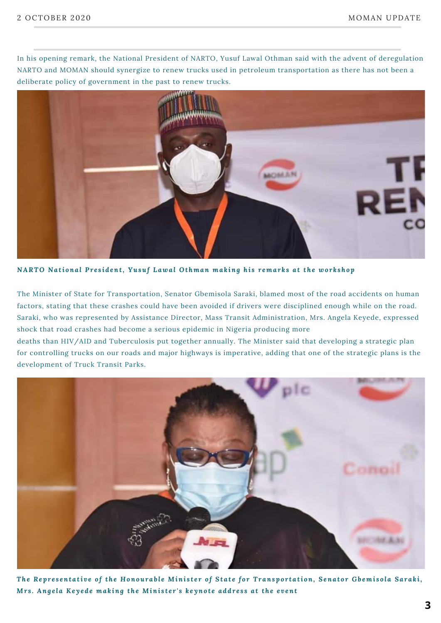In his opening remark, the National President of NARTO, Yusuf Lawal Othman said with the advent of deregulation NARTO and MOMAN should synergize to renew trucks used in petroleum transportation as there has not been a deliberate policy of government in the past to renew trucks.



NARTO National President, Yusuf Lawal Othman making his remarks at the workshop

The Minister of State for Transportation, Senator Gbemisola Saraki, blamed most of the road accidents on human factors, stating that these crashes could have been avoided if drivers were disciplined enough while on the road. Saraki, who was represented by Assistance Director, Mass Transit Administration, Mrs. Angela Keyede, expressed shock that road crashes had become a serious epidemic in Nigeria producing more

deaths than HIV/AID and Tuberculosis put together annually. The Minister said that developing a strategic plan for controlling trucks on our roads and major highways is imperative, adding that one of the strategic plans is the development of Truck Transit Parks.



The Representative of the Honourable Minister of State for Transportation, Senator Gbemisola Saraki, Mrs. Angela Keyede making the Minister's keynote address at the event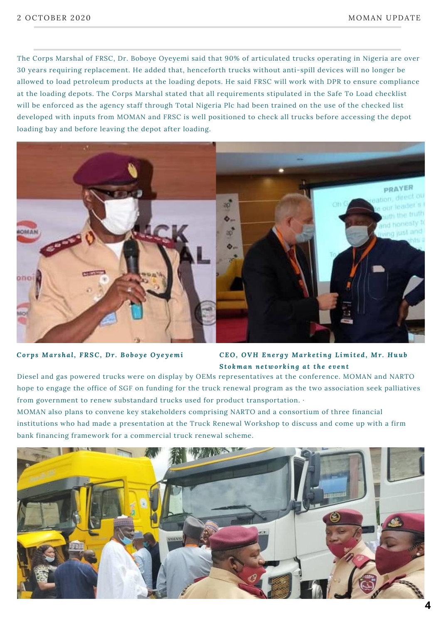The Corps Marshal of FRSC, Dr. Boboye Oyeyemi said that 90% of articulated trucks operating in Nigeria are over 30 years requiring replacement. He added that, henceforth trucks without anti-spill devices will no longer be allowed to load petroleum products at the loading depots. He said FRSC will work with DPR to ensure compliance at the loading depots. The Corps Marshal stated that all requirements stipulated in the Safe To Load checklist will be enforced as the agency staff through Total Nigeria Plc had been trained on the use of the checked list developed with inputs from MOMAN and FRSC is well positioned to check all trucks before accessing the depot loading bay and before leaving the depot after loading.



#### Corps Marshal, FRSC, Dr. Boboye Oyeyemi CEO, OVH Energy Marketing Limited, Mr. Huub *St o kman ne two r k ing a t the e v ent*

Diesel and gas powered trucks were on display by OEMs representatives at the conference. MOMAN and NARTO hope to engage the office of SGF on funding for the truck renewal program as the two association seek palliatives from government to renew substandard trucks used for product transportation. ·

MOMAN also plans to convene key stakeholders comprising NARTO and a consortium of three financial institutions who had made a presentation at the Truck Renewal Workshop to discuss and come up with a firm bank financing framework for a commercial truck renewal scheme.

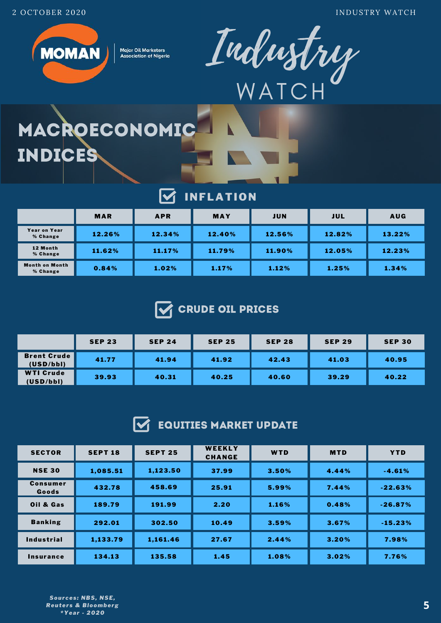2 OCTOBER 2020 INDUSTRY WATCH



**Major Oil Marketers Association of Nigeria** 



## MACROECONOMIC INDICES

#### $\overline{\mathbf{M}}$ INFLATION

|                                   | <b>MAR</b> | <b>APR</b> | <b>MAY</b> | <b>JUN</b> | JUL    | <b>AUG</b> |
|-----------------------------------|------------|------------|------------|------------|--------|------------|
| Year on Year<br>% Change          | 12.26%     | 12.34%     | 12.40%     | 12.56%     | 12.82% | 13.22%     |
| 12 Month<br>% Change              | 11.62%     | 11.17%     | 11.79%     | 11.90%     | 12.05% | 12.23%     |
| <b>Month on Month</b><br>% Change | 0.84%      | 1.02%      | 1.17%      | 1.12%      | 1.25%  | 1.34%      |



|                                 | <b>SEP 23</b> | <b>SEP 24</b> | <b>SEP 25</b> | <b>SEP 28</b> | <b>SEP 29</b> | <b>SEP 30</b> |
|---------------------------------|---------------|---------------|---------------|---------------|---------------|---------------|
| <b>Brent Crude</b><br>(USD/bbl) | 41.77         | 41.94         | 41.92         | 42.43         | 41.03         | 40.95         |
| <b>WTI Crude</b><br>(USD/bbl)   | 39.93         | 40.31         | 40.25         | 40.60         | 39.29         | 40.22         |

#### $\overline{\mathsf{M}}$ EQUITIES MARKET UPDATE

| <b>SECTOR</b>            | <b>SEPT 18</b> | <b>SEPT 25</b> | WEEKLY<br><b>CHANGE</b> | WTD   | <b>MTD</b> | <b>YTD</b> |
|--------------------------|----------------|----------------|-------------------------|-------|------------|------------|
| <b>NSE 30</b>            | 1,085.51       | 1,123.50       | 37.99                   | 3.50% | 4.44%      | $-4.61%$   |
| <b>Consumer</b><br>Goods | 432.78         | 458.69         | 25.91                   | 5.99% | 7.44%      | $-22.63%$  |
| Oil & Gas                | 189.79         | 191.99         | 2.20                    | 1.16% | 0.48%      | $-26.87%$  |
| <b>Banking</b>           | 292.01         | 302.50         | 10.49                   | 3.59% | 3.67%      | $-15.23%$  |
| <b>Industrial</b>        | 1,133.79       | 1,161.46       | 27.67                   | 2.44% | 3.20%      | 7.98%      |
| Insurance                | 134.13         | 135.58         | 1.45                    | 1.08% | 3.02%      | 7.76%      |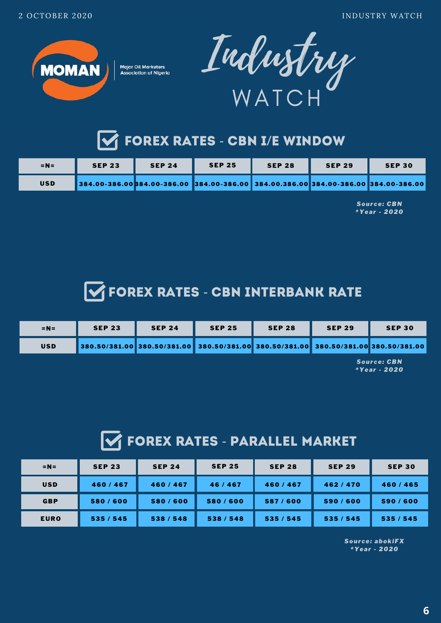



## **V** FOREX RATES - CBN I/E WINDOW

| $=N=$      | <b>SEP 23</b>                                                                            | <b>SEP 24</b> | <b>SEP 25</b> | <b>SEP 28</b> | <b>SEP 29</b> | <b>SEP 30</b> |
|------------|------------------------------------------------------------------------------------------|---------------|---------------|---------------|---------------|---------------|
| <b>USD</b> | 384.00-386.00  384.00-386.00  384.00-386.00  384.00.386.00  384.00-386.00  384.00-386.00 |               |               |               |               |               |

*Sour ce: CBN \*Year - 2020*

## **THE FOREX RATES - CBN INTERBANK RATE**

| $=N=$      | <b>SEP 23</b> | <b>SEP 24</b>                                                                            | <b>SEP 25</b> | <b>SEP 28</b> | <b>SEP 29</b> | <b>SEP 30</b>      |
|------------|---------------|------------------------------------------------------------------------------------------|---------------|---------------|---------------|--------------------|
| <b>USD</b> |               | 380.50/381.00  380.50/381.00  380.50/381.00  380.50/381.00  380.50/381.00  380.50/381.00 |               |               |               |                    |
|            |               |                                                                                          |               |               |               | <b>Source: CBN</b> |

*\*Year - 2020*

## **THE FOREX RATES - PARALLEL MARKET**

| $=N=$       | <b>SEP 23</b> | <b>SEP 24</b> | <b>SEP 25</b> | <b>SEP 28</b> | <b>SEP 29</b> | <b>SEP 30</b> |
|-------------|---------------|---------------|---------------|---------------|---------------|---------------|
| <b>USD</b>  | 460/467       | 460/467       | 46/467        | 460/467       | 462/470       | 460/465       |
| <b>GBP</b>  | 580/600       | 580/600       | 580/600       | 587/600       | 590/600       | 590/600       |
| <b>EURO</b> | 535 / 545     | 538 / 548     | 538 / 548     | 535/545       | 535/545       | 535 / 545     |

*Sour ce: abokiFX \*Year - 2020*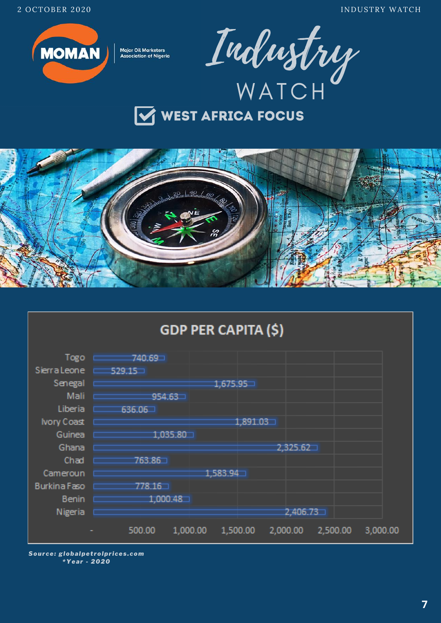**INDUSTRY WATCH** 



**Major Oil Marketers Association of Nigeria** 









Source: globalpetrolprices.com \*Year - 2020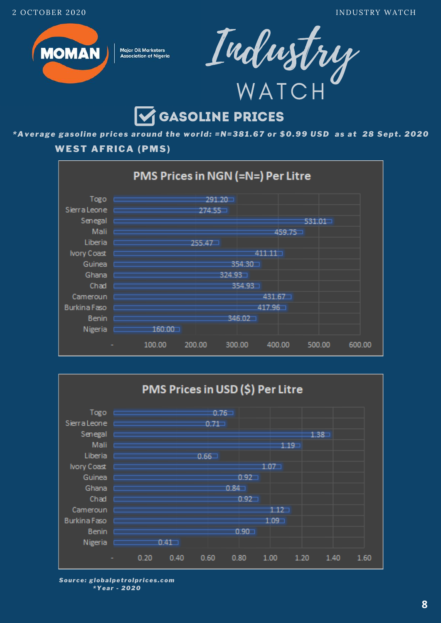



## **GASOLINE PRICES**

\*Average gasoline prices around the world: =N=381.67 or \$0.99 USD as at 28 Sept. 2020

## **WEST AFRICA (PMS)**





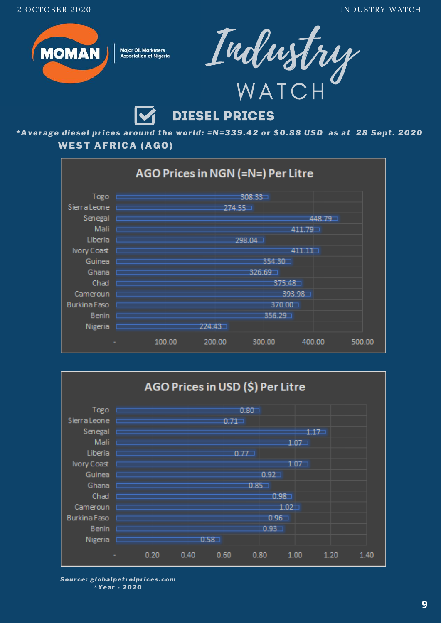



## **DIESEL PRICES**

\*Average diesel prices around the world: =N=339.42 or \$0.88 USD as at 28 Sept. 2020 **WEST AFRICA (AGO)** 





Source: globalpetrolprices.com \*Year - 2020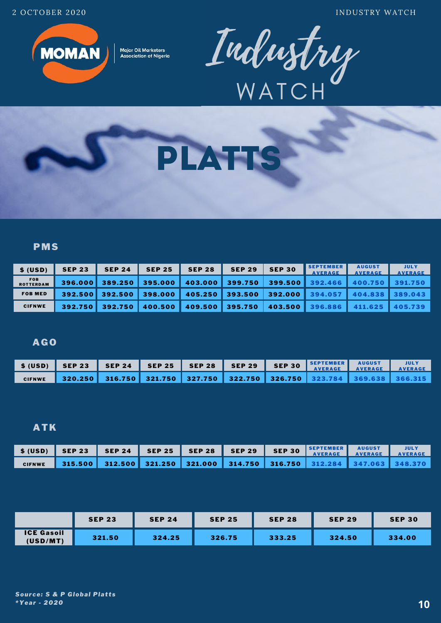2 OCTOBER 2020 INDUSTRY WATCH



**Major Oil Marketers Association of Nigeria** 





## PMS

| \$ (USD)                       | <b>SEP 23</b> | <b>SEP 24</b> | <b>SEP 25</b> | <b>SEP 28</b> | <b>SEP 29</b> | <b>SEP 30</b> | <b>SEPTEMBER</b><br><b>AVERAGE</b> | <b>AUGUST</b><br><b>AVERAGE</b> | <b>JULY</b><br><b>AVERAGE</b> |
|--------------------------------|---------------|---------------|---------------|---------------|---------------|---------------|------------------------------------|---------------------------------|-------------------------------|
| <b>FOB</b><br><b>ROTTERDAM</b> | 396.000       | 389.250       | 395,000       | 403,000       | 399.750       | 399.500       | 392.466                            | 400.750                         | 391.750                       |
| <b>FOB MED</b>                 | 392.500       | 392.500       | 398.000       | 405.250       | 393.500       | 392.000       | 394.057                            | 404.838                         | 389.043                       |
| <b>CIFNWE</b>                  | 392.750       | 392.750       | 400.500       | 409.500       | 395.750       | 403.500       | 396.886                            | 411.625                         | 405.739                       |

## AGO

|               | $$ (USD)$ $$ EP 23$                                                                         |  | SEP 24 SEP 25 SEP 28 SEP 29 SEP 30 SEPTEMBER AUGUST JULY |  |  |
|---------------|---------------------------------------------------------------------------------------------|--|----------------------------------------------------------|--|--|
| <b>CIFNWE</b> | │ 320.250 │ 316.750 │ 321.750 │ 327.750 │ 322.750 │ 326.750 │ 323.784 │ 369.638 │ 366.315 │ |  |                                                          |  |  |

### ATK

| <b>CIFNWE</b> |  |  |  |  |  |
|---------------|--|--|--|--|--|

|                               | <b>SEP 23</b> | <b>SEP 24</b> | <b>SEP 25</b> | <b>SEP 28</b> | <b>SEP 29</b> | <b>SEP 30</b> |
|-------------------------------|---------------|---------------|---------------|---------------|---------------|---------------|
| <b>ICE Gasoil</b><br>(USD/MT) | 321.50        | 324.25        | 326.75        | 333.25        | 324.50        | 334.00        |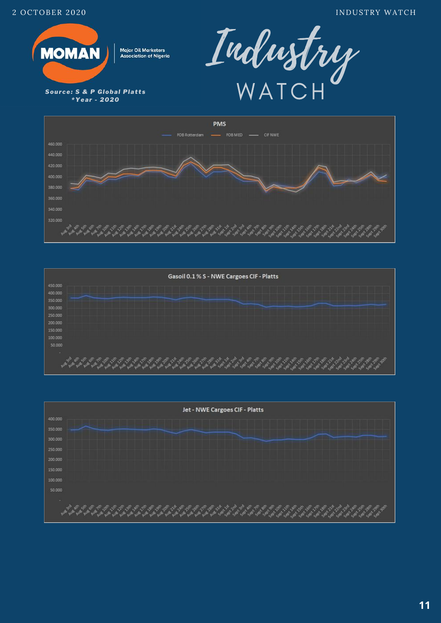

**Source: S & P Global Platts** \*Year - 2020







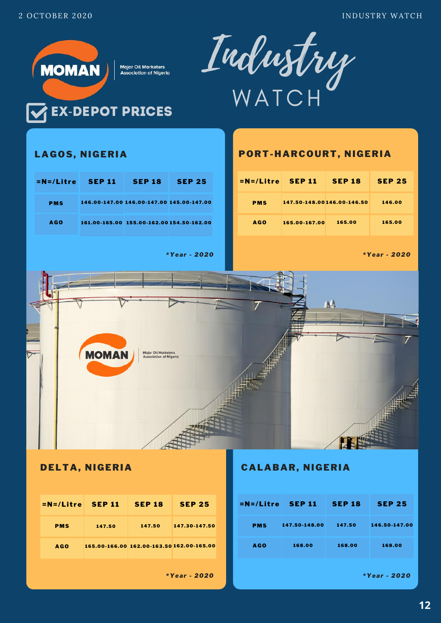

| $=N=/L$ itre SEP 11 |        | <b>SEP 18</b>                             | <b>SEP 25</b> | $=N=/L$ itre SEP 1 |            |
|---------------------|--------|-------------------------------------------|---------------|--------------------|------------|
| <b>PMS</b>          | 147.50 | 147.50                                    | 147.30-147.50 | <b>PMS</b>         | 147.50-148 |
| <b>AGO</b>          |        | 165.00-166.00 162.00-163.50 162.00-165.00 |               | <b>AGO</b>         | 168.00     |

*\*Year - 2020*

## DELTA, NIGERIA CALABAR, NIGERIA

| EP 18                        | <b>SEP 25</b>                  | $=N=/L$ itre SEP 11 |               | <b>SEP 18</b>     | <b>SEP 25.</b>                 |
|------------------------------|--------------------------------|---------------------|---------------|-------------------|--------------------------------|
| 147.50                       | 147.30-147.50                  | <b>PMS</b>          | 147.50-148.00 | 147.50            | 146.50-147.00                  |
|                              | 00-163.50 162.00-165.00        | <b>AGO</b>          | 168.00        | 168.00            | 168.00                         |
| $\sim$ 1.0 $\sim$ 2.0 $\sim$ | $\bullet\bullet\bullet\bullet$ |                     |               | <b>CONTRACTOR</b> | $\bullet\bullet\bullet\bullet$ |

*\*Year - 2020*